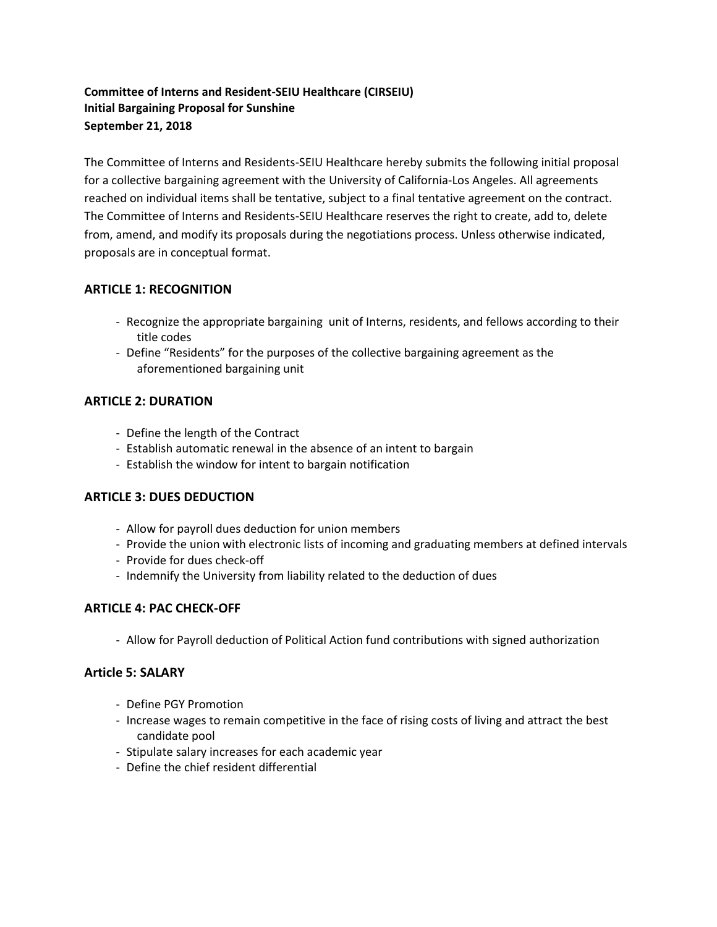# **Committee of Interns and Resident-SEIU Healthcare (CIRSEIU) Initial Bargaining Proposal for Sunshine September 21, 2018**

The Committee of Interns and Residents-SEIU Healthcare hereby submits the following initial proposal for a collective bargaining agreement with the University of California-Los Angeles. All agreements reached on individual items shall be tentative, subject to a final tentative agreement on the contract. The Committee of Interns and Residents-SEIU Healthcare reserves the right to create, add to, delete from, amend, and modify its proposals during the negotiations process. Unless otherwise indicated, proposals are in conceptual format.

# **ARTICLE 1: RECOGNITION**

- Recognize the appropriate bargaining unit of Interns, residents, and fellows according to their title codes
- Define "Residents" for the purposes of the collective bargaining agreement as the aforementioned bargaining unit

# **ARTICLE 2: DURATION**

- Define the length of the Contract
- Establish automatic renewal in the absence of an intent to bargain
- Establish the window for intent to bargain notification

## **ARTICLE 3: DUES DEDUCTION**

- Allow for payroll dues deduction for union members
- Provide the union with electronic lists of incoming and graduating members at defined intervals
- Provide for dues check-off
- Indemnify the University from liability related to the deduction of dues

# **ARTICLE 4: PAC CHECK-OFF**

- Allow for Payroll deduction of Political Action fund contributions with signed authorization

## **Article 5: SALARY**

- Define PGY Promotion
- Increase wages to remain competitive in the face of rising costs of living and attract the best candidate pool
- Stipulate salary increases for each academic year
- Define the chief resident differential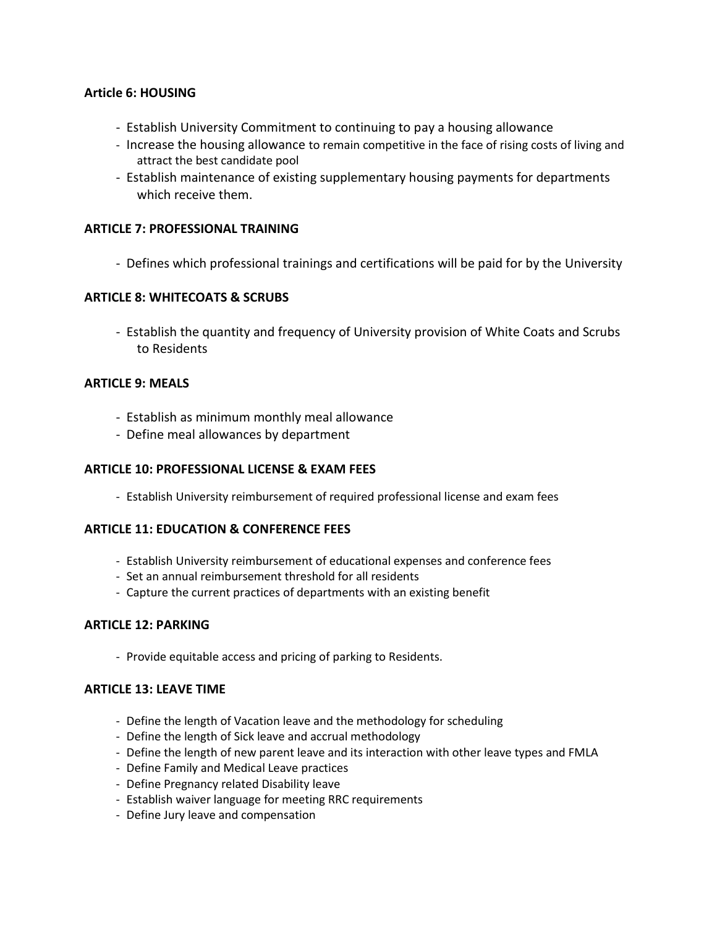## **Article 6: HOUSING**

- Establish University Commitment to continuing to pay a housing allowance
- Increase the housing allowance to remain competitive in the face of rising costs of living and attract the best candidate pool
- Establish maintenance of existing supplementary housing payments for departments which receive them.

### **ARTICLE 7: PROFESSIONAL TRAINING**

- Defines which professional trainings and certifications will be paid for by the University

### **ARTICLE 8: WHITECOATS & SCRUBS**

- Establish the quantity and frequency of University provision of White Coats and Scrubs to Residents

### **ARTICLE 9: MEALS**

- Establish as minimum monthly meal allowance
- Define meal allowances by department

#### **ARTICLE 10: PROFESSIONAL LICENSE & EXAM FEES**

- Establish University reimbursement of required professional license and exam fees

#### **ARTICLE 11: EDUCATION & CONFERENCE FEES**

- Establish University reimbursement of educational expenses and conference fees
- Set an annual reimbursement threshold for all residents
- Capture the current practices of departments with an existing benefit

#### **ARTICLE 12: PARKING**

- Provide equitable access and pricing of parking to Residents.

## **ARTICLE 13: LEAVE TIME**

- Define the length of Vacation leave and the methodology for scheduling
- Define the length of Sick leave and accrual methodology
- Define the length of new parent leave and its interaction with other leave types and FMLA
- Define Family and Medical Leave practices
- Define Pregnancy related Disability leave
- Establish waiver language for meeting RRC requirements
- Define Jury leave and compensation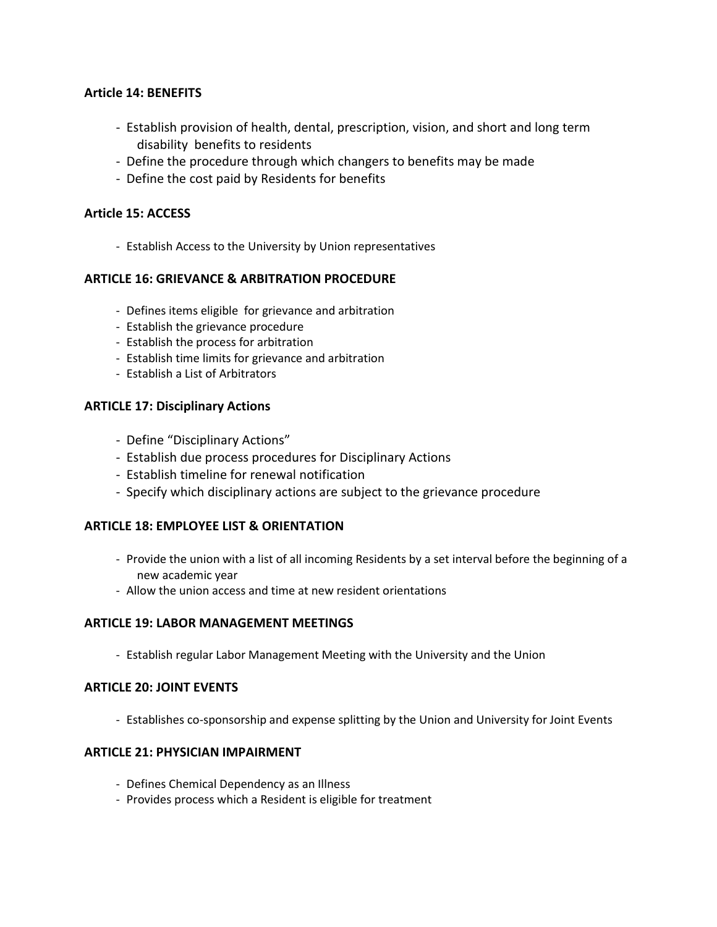## **Article 14: BENEFITS**

- Establish provision of health, dental, prescription, vision, and short and long term disability benefits to residents
- Define the procedure through which changers to benefits may be made
- Define the cost paid by Residents for benefits

## **Article 15: ACCESS**

- Establish Access to the University by Union representatives

## **ARTICLE 16: GRIEVANCE & ARBITRATION PROCEDURE**

- Defines items eligible for grievance and arbitration
- Establish the grievance procedure
- Establish the process for arbitration
- Establish time limits for grievance and arbitration
- Establish a List of Arbitrators

### **ARTICLE 17: Disciplinary Actions**

- Define "Disciplinary Actions"
- Establish due process procedures for Disciplinary Actions
- Establish timeline for renewal notification
- Specify which disciplinary actions are subject to the grievance procedure

#### **ARTICLE 18: EMPLOYEE LIST & ORIENTATION**

- Provide the union with a list of all incoming Residents by a set interval before the beginning of a new academic year
- Allow the union access and time at new resident orientations

#### **ARTICLE 19: LABOR MANAGEMENT MEETINGS**

- Establish regular Labor Management Meeting with the University and the Union

#### **ARTICLE 20: JOINT EVENTS**

- Establishes co-sponsorship and expense splitting by the Union and University for Joint Events

## **ARTICLE 21: PHYSICIAN IMPAIRMENT**

- Defines Chemical Dependency as an Illness
- Provides process which a Resident is eligible for treatment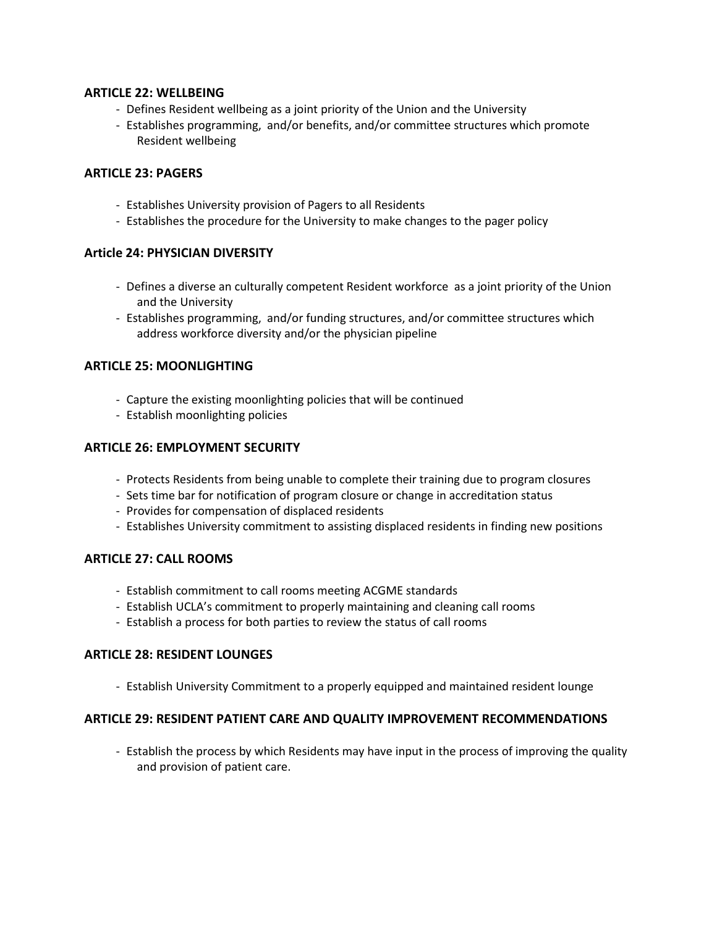### **ARTICLE 22: WELLBEING**

- Defines Resident wellbeing as a joint priority of the Union and the University
- Establishes programming, and/or benefits, and/or committee structures which promote Resident wellbeing

## **ARTICLE 23: PAGERS**

- Establishes University provision of Pagers to all Residents
- Establishes the procedure for the University to make changes to the pager policy

### **Article 24: PHYSICIAN DIVERSITY**

- Defines a diverse an culturally competent Resident workforce as a joint priority of the Union and the University
- Establishes programming, and/or funding structures, and/or committee structures which address workforce diversity and/or the physician pipeline

### **ARTICLE 25: MOONLIGHTING**

- Capture the existing moonlighting policies that will be continued
- Establish moonlighting policies

### **ARTICLE 26: EMPLOYMENT SECURITY**

- Protects Residents from being unable to complete their training due to program closures
- Sets time bar for notification of program closure or change in accreditation status
- Provides for compensation of displaced residents
- Establishes University commitment to assisting displaced residents in finding new positions

## **ARTICLE 27: CALL ROOMS**

- Establish commitment to call rooms meeting ACGME standards
- Establish UCLA's commitment to properly maintaining and cleaning call rooms
- Establish a process for both parties to review the status of call rooms

#### **ARTICLE 28: RESIDENT LOUNGES**

- Establish University Commitment to a properly equipped and maintained resident lounge

#### **ARTICLE 29: RESIDENT PATIENT CARE AND QUALITY IMPROVEMENT RECOMMENDATIONS**

- Establish the process by which Residents may have input in the process of improving the quality and provision of patient care.